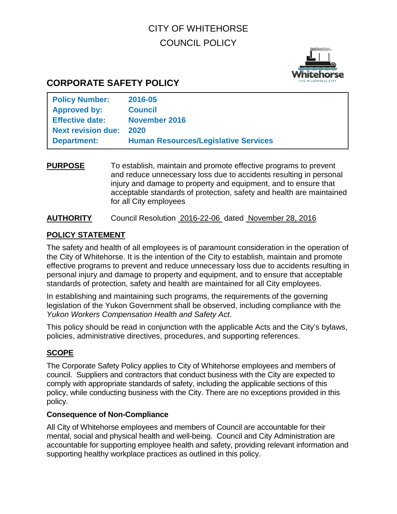# CITY OF WHITEHORSE COUNCIL POLICY



# **CORPORATE SAFETY POLICY**

| <b>Policy Number:</b>     | 2016-05                                     |
|---------------------------|---------------------------------------------|
| <b>Approved by:</b>       | <b>Council</b>                              |
| <b>Effective date:</b>    | November 2016                               |
| <b>Next revision due:</b> | 2020                                        |
| <b>Department:</b>        | <b>Human Resources/Legislative Services</b> |

**PURPOSE** To establish, maintain and promote effective programs to prevent and reduce unnecessary loss due to accidents resulting in personal injury and damage to property and equipment, and to ensure that acceptable standards of protection, safety and health are maintained for all City employees

#### **AUTHORITY** Council Resolution 2016-22-06 dated November 28, 2016

#### **POLICY STATEMENT**

The safety and health of all employees is of paramount consideration in the operation of the City of Whitehorse. It is the intention of the City to establish, maintain and promote effective programs to prevent and reduce unnecessary loss due to accidents resulting in personal injury and damage to property and equipment, and to ensure that acceptable standards of protection, safety and health are maintained for all City employees.

In establishing and maintaining such programs, the requirements of the governing legislation of the Yukon Government shall be observed, including compliance with the *Yukon Workers Compensation Health and Safety Act*.

This policy should be read in conjunction with the applicable Acts and the City's bylaws, policies, administrative directives, procedures, and supporting references.

## **SCOPE**

The Corporate Safety Policy applies to City of Whitehorse employees and members of council. Suppliers and contractors that conduct business with the City are expected to comply with appropriate standards of safety, including the applicable sections of this policy, while conducting business with the City. There are no exceptions provided in this policy.

#### **Consequence of Non-Compliance**

All City of Whitehorse employees and members of Council are accountable for their mental, social and physical health and well-being. Council and City Administration are accountable for supporting employee health and safety, providing relevant information and supporting healthy workplace practices as outlined in this policy.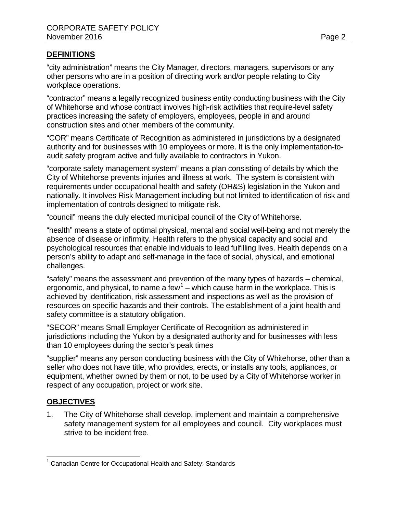#### **DEFINITIONS**

"city administration" means the City Manager, directors, managers, supervisors or any other persons who are in a position of directing work and/or people relating to City workplace operations.

"contractor" means a legally recognized business entity conducting business with the City of Whitehorse and whose contract involves high-risk activities that require-level safety practices increasing the safety of employers, employees, people in and around construction sites and other members of the community.

"COR" means Certificate of Recognition as administered in jurisdictions by a designated authority and for businesses with 10 employees or more. It is the only implementation-toaudit safety program active and fully available to contractors in Yukon.

"corporate safety management system" means a plan consisting of details by which the City of Whitehorse prevents injuries and illness at work. The system is consistent with requirements under occupational health and safety (OH&S) legislation in the Yukon and nationally. It involves Risk Management including but not limited to identification of risk and implementation of controls designed to mitigate risk.

"council" means the duly elected municipal council of the City of Whitehorse.

"health" means a state of optimal physical, mental and social well-being and not merely the absence of disease or infirmity. Health refers to the physical capacity and social and psychological resources that enable individuals to lead fulfilling lives. Health depends on a person's ability to adapt and self-manage in the face of social, physical, and emotional challenges.

"safety" means the assessment and prevention of the many types of hazards – chemical, ergonomic, and physical, to name a  $few^1$  $few^1$  – which cause harm in the workplace. This is achieved by identification, risk assessment and inspections as well as the provision of resources on specific hazards and their controls. The establishment of a joint health and safety committee is a statutory obligation.

"SECOR" means Small Employer Certificate of Recognition as administered in jurisdictions including the Yukon by a designated authority and for businesses with less than 10 employees during the sector's peak times

"supplier" means any person conducting business with the City of Whitehorse, other than a seller who does not have title, who provides, erects, or installs any tools, appliances, or equipment, whether owned by them or not, to be used by a City of Whitehorse worker in respect of any occupation, project or work site.

## **OBJECTIVES**

1. The City of Whitehorse shall develop, implement and maintain a comprehensive safety management system for all employees and council. City workplaces must strive to be incident free.

<span id="page-1-0"></span><sup>&</sup>lt;sup>1</sup> Canadian Centre for Occupational Health and Safety: Standards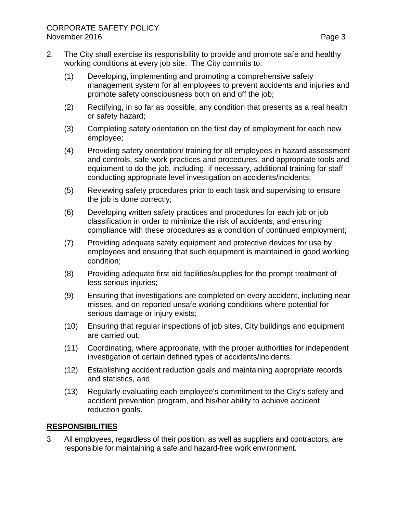- 2. The City shall exercise its responsibility to provide and promote safe and healthy working conditions at every job site. The City commits to:
	- (1) Developing, implementing and promoting a comprehensive safety management system for all employees to prevent accidents and injuries and promote safety consciousness both on and off the job;
	- (2) Rectifying, in so far as possible, any condition that presents as a real health or safety hazard;
	- (3) Completing safety orientation on the first day of employment for each new employee;
	- (4) Providing safety orientation/ training for all employees in hazard assessment and controls, safe work practices and procedures, and appropriate tools and equipment to do the job, including, if necessary, additional training for staff conducting appropriate level investigation on accidents/incidents;
	- (5) Reviewing safety procedures prior to each task and supervising to ensure the job is done correctly;
	- (6) Developing written safety practices and procedures for each job or job classification in order to minimize the risk of accidents, and ensuring compliance with these procedures as a condition of continued employment;
	- (7) Providing adequate safety equipment and protective devices for use by employees and ensuring that such equipment is maintained in good working condition;
	- (8) Providing adequate first aid facilities/supplies for the prompt treatment of less serious injuries:
	- (9) Ensuring that investigations are completed on every accident, including near misses, and on reported unsafe working conditions where potential for serious damage or injury exists;
	- (10) Ensuring that regular inspections of job sites, City buildings and equipment are carried out;
	- (11) Coordinating, where appropriate, with the proper authorities for independent investigation of certain defined types of accidents/incidents;
	- (12) Establishing accident reduction goals and maintaining appropriate records and statistics, and
	- (13) Regularly evaluating each employee's commitment to the City's safety and accident prevention program, and his/her ability to achieve accident reduction goals.

#### **RESPONSIBILITIES**

3. All employees, regardless of their position, as well as suppliers and contractors, are responsible for maintaining a safe and hazard-free work environment.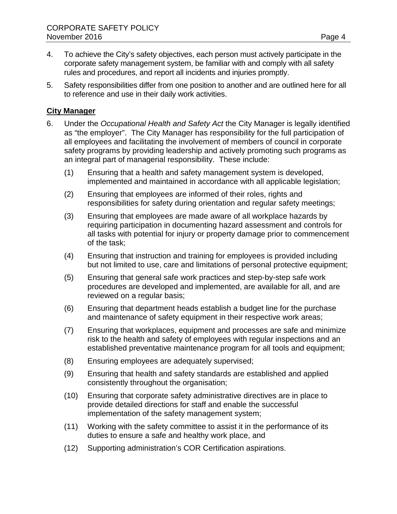- 4. To achieve the City's safety objectives, each person must actively participate in the corporate safety management system, be familiar with and comply with all safety rules and procedures, and report all incidents and injuries promptly.
- 5. Safety responsibilities differ from one position to another and are outlined here for all to reference and use in their daily work activities.

#### **City Manager**

- 6. Under the *Occupational Health and Safety Act* the City Manager is legally identified as "the employer". The City Manager has responsibility for the full participation of all employees and facilitating the involvement of members of council in corporate safety programs by providing leadership and actively promoting such programs as an integral part of managerial responsibility. These include:
	- (1) Ensuring that a health and safety management system is developed, implemented and maintained in accordance with all applicable legislation;
	- (2) Ensuring that employees are informed of their roles, rights and responsibilities for safety during orientation and regular safety meetings;
	- (3) Ensuring that employees are made aware of all workplace hazards by requiring participation in documenting hazard assessment and controls for all tasks with potential for injury or property damage prior to commencement of the task;
	- (4) Ensuring that instruction and training for employees is provided including but not limited to use, care and limitations of personal protective equipment;
	- (5) Ensuring that general safe work practices and step-by-step safe work procedures are developed and implemented, are available for all, and are reviewed on a regular basis;
	- (6) Ensuring that department heads establish a budget line for the purchase and maintenance of safety equipment in their respective work areas;
	- (7) Ensuring that workplaces, equipment and processes are safe and minimize risk to the health and safety of employees with regular inspections and an established preventative maintenance program for all tools and equipment;
	- (8) Ensuring employees are adequately supervised;
	- (9) Ensuring that health and safety standards are established and applied consistently throughout the organisation;
	- (10) Ensuring that corporate safety administrative directives are in place to provide detailed directions for staff and enable the successful implementation of the safety management system;
	- (11) Working with the safety committee to assist it in the performance of its duties to ensure a safe and healthy work place, and
	- (12) Supporting administration's COR Certification aspirations.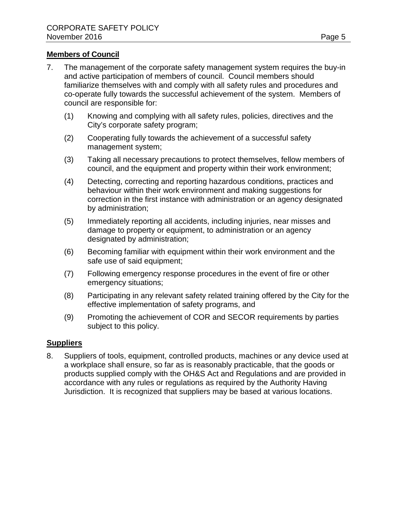#### **Members of Council**

- 7. The management of the corporate safety management system requires the buy-in and active participation of members of council. Council members should familiarize themselves with and comply with all safety rules and procedures and co-operate fully towards the successful achievement of the system. Members of council are responsible for:
	- (1) Knowing and complying with all safety rules, policies, directives and the City's corporate safety program;
	- (2) Cooperating fully towards the achievement of a successful safety management system;
	- (3) Taking all necessary precautions to protect themselves, fellow members of council, and the equipment and property within their work environment;
	- (4) Detecting, correcting and reporting hazardous conditions, practices and behaviour within their work environment and making suggestions for correction in the first instance with administration or an agency designated by administration;
	- (5) Immediately reporting all accidents, including injuries, near misses and damage to property or equipment, to administration or an agency designated by administration;
	- (6) Becoming familiar with equipment within their work environment and the safe use of said equipment;
	- (7) Following emergency response procedures in the event of fire or other emergency situations;
	- (8) Participating in any relevant safety related training offered by the City for the effective implementation of safety programs, and
	- (9) Promoting the achievement of COR and SECOR requirements by parties subject to this policy.

#### **Suppliers**

8. Suppliers of tools, equipment, controlled products, machines or any device used at a workplace shall ensure, so far as is reasonably practicable, that the goods or products supplied comply with the OH&S Act and Regulations and are provided in accordance with any rules or regulations as required by the Authority Having Jurisdiction. It is recognized that suppliers may be based at various locations.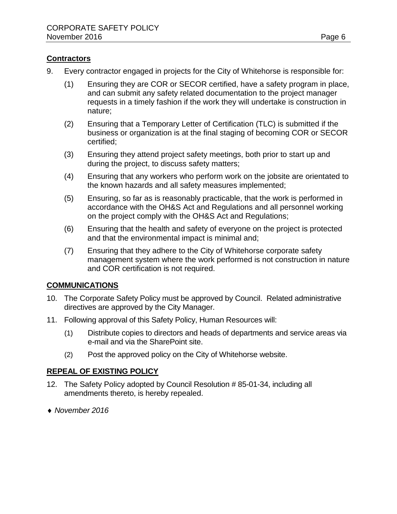#### **Contractors**

- 9. Every contractor engaged in projects for the City of Whitehorse is responsible for:
	- (1) Ensuring they are COR or SECOR certified, have a safety program in place, and can submit any safety related documentation to the project manager requests in a timely fashion if the work they will undertake is construction in nature;
	- (2) Ensuring that a Temporary Letter of Certification (TLC) is submitted if the business or organization is at the final staging of becoming COR or SECOR certified;
	- (3) Ensuring they attend project safety meetings, both prior to start up and during the project, to discuss safety matters;
	- (4) Ensuring that any workers who perform work on the jobsite are orientated to the known hazards and all safety measures implemented;
	- (5) Ensuring, so far as is reasonably practicable, that the work is performed in accordance with the OH&S Act and Regulations and all personnel working on the project comply with the OH&S Act and Regulations;
	- (6) Ensuring that the health and safety of everyone on the project is protected and that the environmental impact is minimal and;
	- (7) Ensuring that they adhere to the City of Whitehorse corporate safety management system where the work performed is not construction in nature and COR certification is not required.

#### **COMMUNICATIONS**

- 10. The Corporate Safety Policy must be approved by Council. Related administrative directives are approved by the City Manager.
- 11. Following approval of this Safety Policy, Human Resources will:
	- (1) Distribute copies to directors and heads of departments and service areas via e-mail and via the SharePoint site.
	- (2) Post the approved policy on the City of Whitehorse website.

#### **REPEAL OF EXISTING POLICY**

- 12. The Safety Policy adopted by Council Resolution # 85-01-34, including all amendments thereto, is hereby repealed.
- ♦ *November 2016*